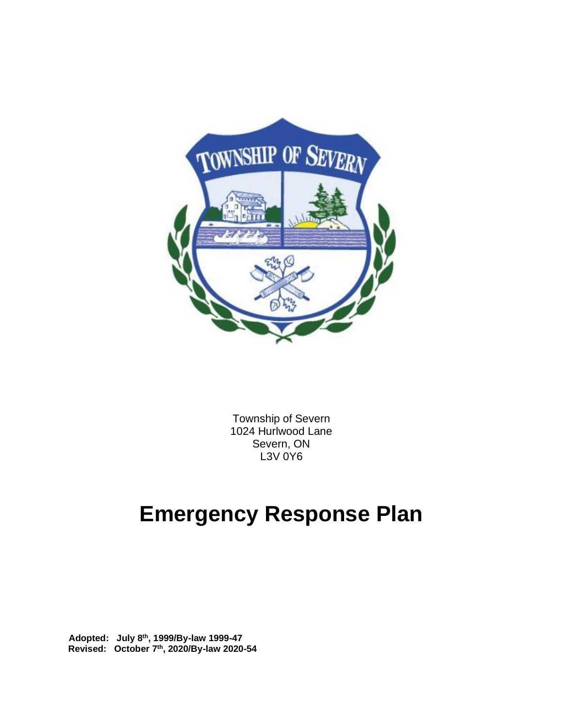

Township of Severn 1024 Hurlwood Lane Severn, ON L3V 0Y6

# **Emergency Response Plan**

 **Adopted: July 8th, 1999/By-law 1999-47 Revised: October 7th, 2020/By-law 2020-54**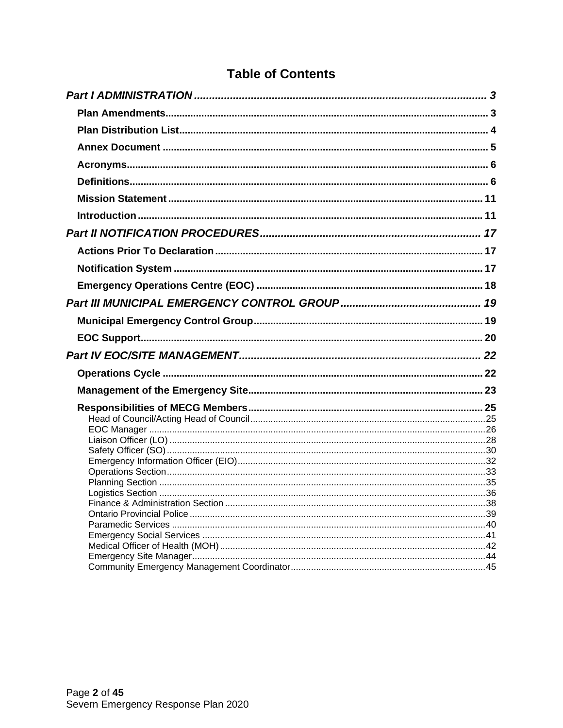| <b>Table of Contents</b> |  |  |
|--------------------------|--|--|
|                          |  |  |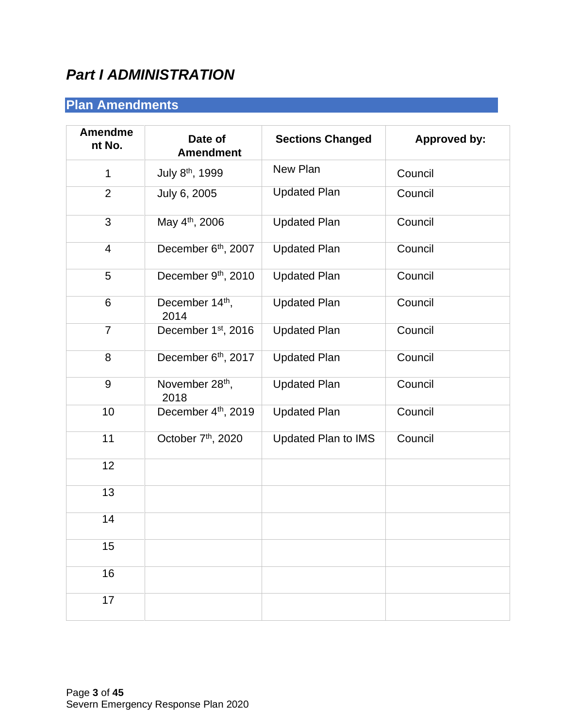# <span id="page-2-0"></span>*Part I ADMINISTRATION*

# <span id="page-2-1"></span>**Plan Amendments**

| <b>Amendme</b><br>nt No. | Date of<br><b>Amendment</b>         | <b>Sections Changed</b> | <b>Approved by:</b> |
|--------------------------|-------------------------------------|-------------------------|---------------------|
| 1                        | July 8th, 1999                      | New Plan                | Council             |
| $\overline{2}$           | July 6, 2005                        | <b>Updated Plan</b>     | Council             |
| 3                        | May 4 <sup>th</sup> , 2006          | <b>Updated Plan</b>     | Council             |
| $\overline{\mathcal{A}}$ | December 6 <sup>th</sup> , 2007     | <b>Updated Plan</b>     | Council             |
| 5                        | December 9th, 2010                  | <b>Updated Plan</b>     | Council             |
| 6                        | December 14 <sup>th</sup> ,<br>2014 | <b>Updated Plan</b>     | Council             |
| $\overline{7}$           | December 1 <sup>st</sup> , 2016     | <b>Updated Plan</b>     | Council             |
| 8                        | December 6 <sup>th</sup> , 2017     | <b>Updated Plan</b>     | Council             |
| 9                        | November 28 <sup>th</sup> ,<br>2018 | <b>Updated Plan</b>     | Council             |
| 10                       | December 4th, 2019                  | <b>Updated Plan</b>     | Council             |
| 11                       | October 7 <sup>th</sup> , 2020      | Updated Plan to IMS     | Council             |
| 12                       |                                     |                         |                     |
| 13                       |                                     |                         |                     |
| 14                       |                                     |                         |                     |
| 15                       |                                     |                         |                     |
| 16                       |                                     |                         |                     |
| 17                       |                                     |                         |                     |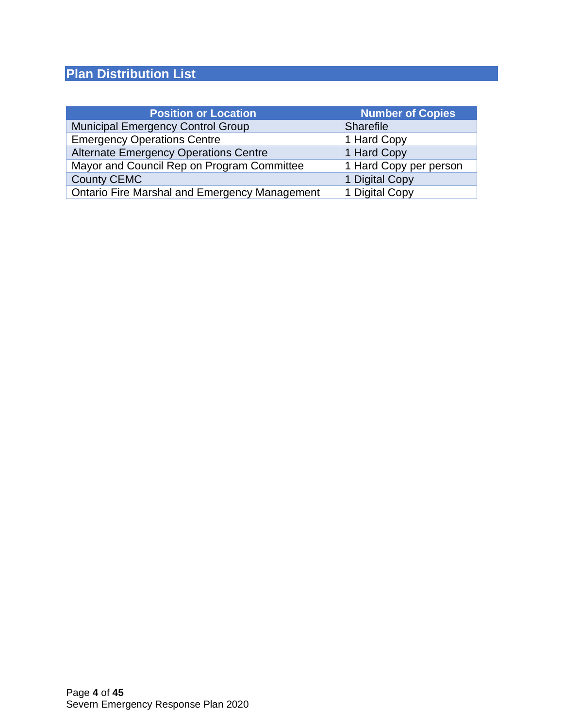# <span id="page-3-0"></span>**Plan Distribution List**

| <b>Position or Location</b>                          | <b>Number of Copies</b> |
|------------------------------------------------------|-------------------------|
| <b>Municipal Emergency Control Group</b>             | <b>Sharefile</b>        |
| <b>Emergency Operations Centre</b>                   | 1 Hard Copy             |
| <b>Alternate Emergency Operations Centre</b>         | 1 Hard Copy             |
| Mayor and Council Rep on Program Committee           | 1 Hard Copy per person  |
| <b>County CEMC</b>                                   | 1 Digital Copy          |
| <b>Ontario Fire Marshal and Emergency Management</b> | 1 Digital Copy          |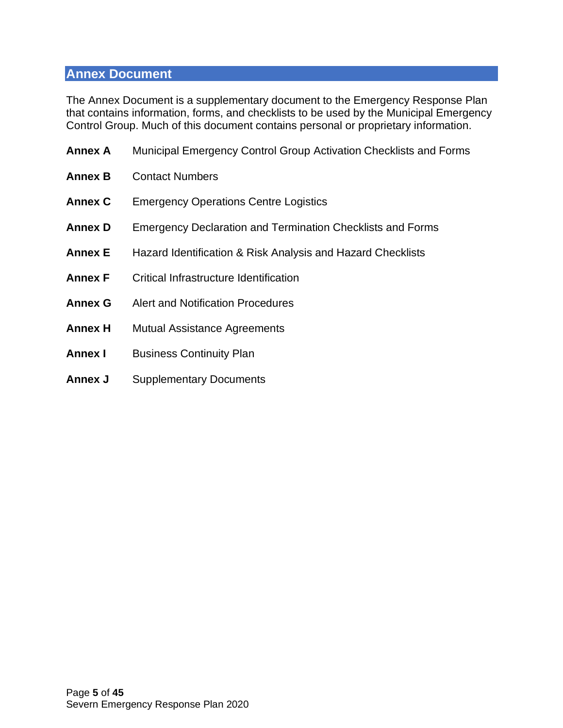### <span id="page-4-0"></span>**Annex Document**

The Annex Document is a supplementary document to the Emergency Response Plan that contains information, forms, and checklists to be used by the Municipal Emergency Control Group. Much of this document contains personal or proprietary information.

| <b>Annex A</b> | Municipal Emergency Control Group Activation Checklists and Forms |
|----------------|-------------------------------------------------------------------|
| <b>Annex B</b> | <b>Contact Numbers</b>                                            |
| <b>Annex C</b> | <b>Emergency Operations Centre Logistics</b>                      |
| <b>Annex D</b> | <b>Emergency Declaration and Termination Checklists and Forms</b> |
| <b>Annex E</b> | Hazard Identification & Risk Analysis and Hazard Checklists       |
| <b>Annex F</b> | Critical Infrastructure Identification                            |
| <b>Annex G</b> | Alert and Notification Procedures                                 |
| <b>Annex H</b> | <b>Mutual Assistance Agreements</b>                               |
| <b>Annex I</b> | <b>Business Continuity Plan</b>                                   |
| <b>Annex J</b> | <b>Supplementary Documents</b>                                    |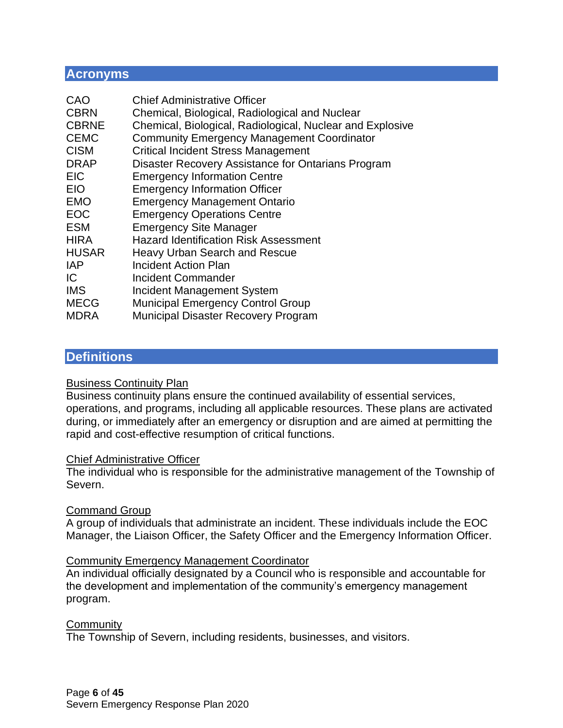#### <span id="page-5-0"></span>**Acronyms**

| CAO          | <b>Chief Administrative Officer</b>                       |
|--------------|-----------------------------------------------------------|
| <b>CBRN</b>  | Chemical, Biological, Radiological and Nuclear            |
| <b>CBRNE</b> | Chemical, Biological, Radiological, Nuclear and Explosive |
| <b>CEMC</b>  | <b>Community Emergency Management Coordinator</b>         |
| <b>CISM</b>  | <b>Critical Incident Stress Management</b>                |
| <b>DRAP</b>  | Disaster Recovery Assistance for Ontarians Program        |
| <b>EIC</b>   | <b>Emergency Information Centre</b>                       |
| <b>EIO</b>   | <b>Emergency Information Officer</b>                      |
| <b>EMO</b>   | <b>Emergency Management Ontario</b>                       |
| <b>EOC</b>   | <b>Emergency Operations Centre</b>                        |
| <b>ESM</b>   | <b>Emergency Site Manager</b>                             |
| <b>HIRA</b>  | <b>Hazard Identification Risk Assessment</b>              |
| <b>HUSAR</b> | <b>Heavy Urban Search and Rescue</b>                      |
| <b>IAP</b>   | Incident Action Plan                                      |
| IC           | Incident Commander                                        |
| <b>IMS</b>   | Incident Management System                                |
| <b>MECG</b>  | <b>Municipal Emergency Control Group</b>                  |
| <b>MDRA</b>  | <b>Municipal Disaster Recovery Program</b>                |

### <span id="page-5-1"></span>**Definitions**

#### Business Continuity Plan

Business continuity plans ensure the continued availability of essential services, operations, and programs, including all applicable resources. These plans are activated during, or immediately after an emergency or disruption and are aimed at permitting the rapid and cost-effective resumption of critical functions.

#### Chief Administrative Officer

The individual who is responsible for the administrative management of the Township of Severn.

#### Command Group

A group of individuals that administrate an incident. These individuals include the EOC Manager, the Liaison Officer, the Safety Officer and the Emergency Information Officer.

#### Community Emergency Management Coordinator

An individual officially designated by a Council who is responsible and accountable for the development and implementation of the community's emergency management program.

#### **Community**

The Township of Severn, including residents, businesses, and visitors.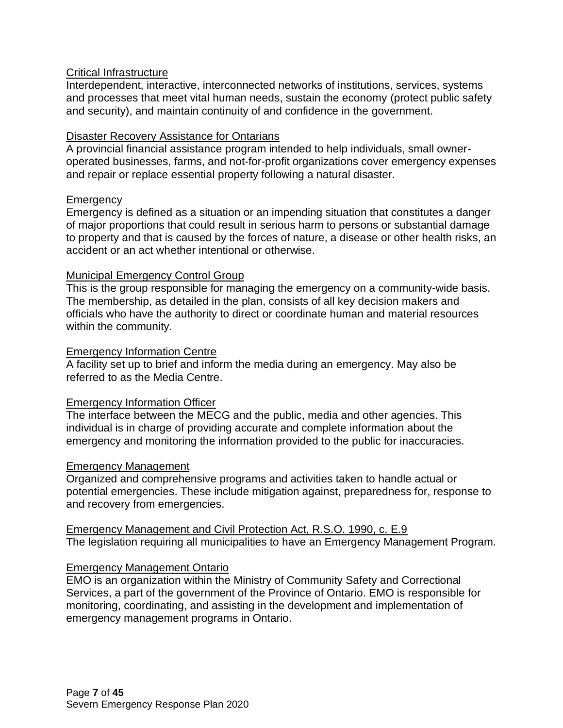#### Critical Infrastructure

Interdependent, interactive, interconnected networks of institutions, services, systems and processes that meet vital human needs, sustain the economy (protect public safety and security), and maintain continuity of and confidence in the government.

#### Disaster Recovery Assistance for Ontarians

A provincial financial assistance program intended to help individuals, small owneroperated businesses, farms, and not-for-profit organizations cover emergency expenses and repair or replace essential property following a natural disaster.

#### **Emergency**

Emergency is defined as a situation or an impending situation that constitutes a danger of major proportions that could result in serious harm to persons or substantial damage to property and that is caused by the forces of nature, a disease or other health risks, an accident or an act whether intentional or otherwise.

#### Municipal Emergency Control Group

This is the group responsible for managing the emergency on a community-wide basis. The membership, as detailed in the plan, consists of all key decision makers and officials who have the authority to direct or coordinate human and material resources within the community.

#### Emergency Information Centre

A facility set up to brief and inform the media during an emergency. May also be referred to as the Media Centre.

#### Emergency Information Officer

The interface between the MECG and the public, media and other agencies. This individual is in charge of providing accurate and complete information about the emergency and monitoring the information provided to the public for inaccuracies.

#### Emergency Management

Organized and comprehensive programs and activities taken to handle actual or potential emergencies. These include mitigation against, preparedness for, response to and recovery from emergencies.

Emergency Management and Civil Protection Act, R.S.O. 1990, c. E.9 The legislation requiring all municipalities to have an Emergency Management Program.

#### Emergency Management Ontario

EMO is an organization within the Ministry of Community Safety and Correctional Services, a part of the government of the Province of Ontario. EMO is responsible for monitoring, coordinating, and assisting in the development and implementation of emergency management programs in Ontario.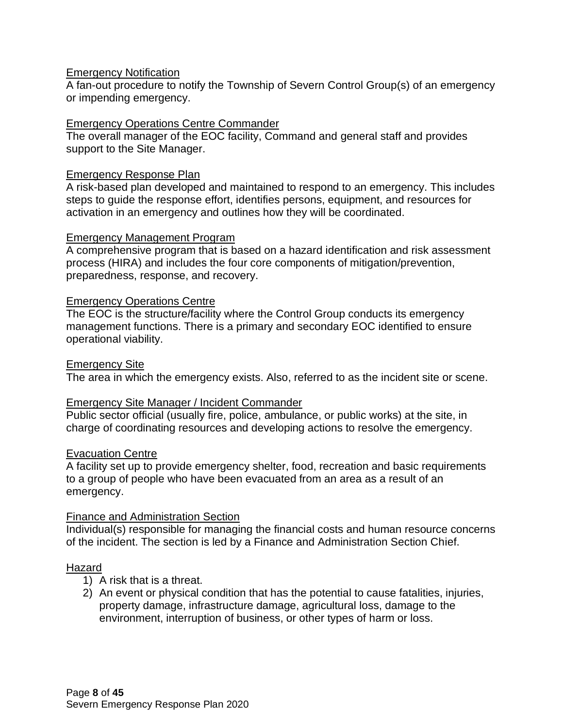#### Emergency Notification

A fan-out procedure to notify the Township of Severn Control Group(s) of an emergency or impending emergency.

#### Emergency Operations Centre Commander

The overall manager of the EOC facility, Command and general staff and provides support to the Site Manager.

#### Emergency Response Plan

A risk-based plan developed and maintained to respond to an emergency. This includes steps to guide the response effort, identifies persons, equipment, and resources for activation in an emergency and outlines how they will be coordinated.

#### Emergency Management Program

A comprehensive program that is based on a hazard identification and risk assessment process (HIRA) and includes the four core components of mitigation/prevention, preparedness, response, and recovery.

#### Emergency Operations Centre

The EOC is the structure/facility where the Control Group conducts its emergency management functions. There is a primary and secondary EOC identified to ensure operational viability.

#### Emergency Site

The area in which the emergency exists. Also, referred to as the incident site or scene.

#### Emergency Site Manager / Incident Commander

Public sector official (usually fire, police, ambulance, or public works) at the site, in charge of coordinating resources and developing actions to resolve the emergency.

#### Evacuation Centre

A facility set up to provide emergency shelter, food, recreation and basic requirements to a group of people who have been evacuated from an area as a result of an emergency.

#### Finance and Administration Section

Individual(s) responsible for managing the financial costs and human resource concerns of the incident. The section is led by a Finance and Administration Section Chief.

#### Hazard

- 1) A risk that is a threat.
- 2) An event or physical condition that has the potential to cause fatalities, injuries, property damage, infrastructure damage, agricultural loss, damage to the environment, interruption of business, or other types of harm or loss.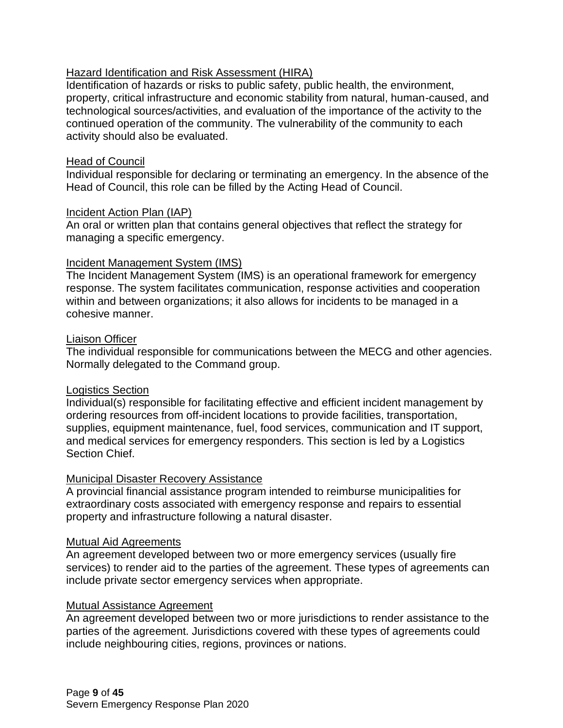#### Hazard Identification and Risk Assessment (HIRA)

Identification of hazards or risks to public safety, public health, the environment, property, critical infrastructure and economic stability from natural, human-caused, and technological sources/activities, and evaluation of the importance of the activity to the continued operation of the community. The vulnerability of the community to each activity should also be evaluated.

#### Head of Council

Individual responsible for declaring or terminating an emergency. In the absence of the Head of Council, this role can be filled by the Acting Head of Council.

#### Incident Action Plan (IAP)

An oral or written plan that contains general objectives that reflect the strategy for managing a specific emergency.

#### Incident Management System (IMS)

The Incident Management System (IMS) is an operational framework for emergency response. The system facilitates communication, response activities and cooperation within and between organizations; it also allows for incidents to be managed in a cohesive manner.

#### Liaison Officer

The individual responsible for communications between the MECG and other agencies. Normally delegated to the Command group.

#### Logistics Section

Individual(s) responsible for facilitating effective and efficient incident management by ordering resources from off-incident locations to provide facilities, transportation, supplies, equipment maintenance, fuel, food services, communication and IT support, and medical services for emergency responders. This section is led by a Logistics Section Chief.

#### Municipal Disaster Recovery Assistance

A provincial financial assistance program intended to reimburse municipalities for extraordinary costs associated with emergency response and repairs to essential property and infrastructure following a natural disaster.

#### Mutual Aid Agreements

An agreement developed between two or more emergency services (usually fire services) to render aid to the parties of the agreement. These types of agreements can include private sector emergency services when appropriate.

#### Mutual Assistance Agreement

An agreement developed between two or more jurisdictions to render assistance to the parties of the agreement. Jurisdictions covered with these types of agreements could include neighbouring cities, regions, provinces or nations.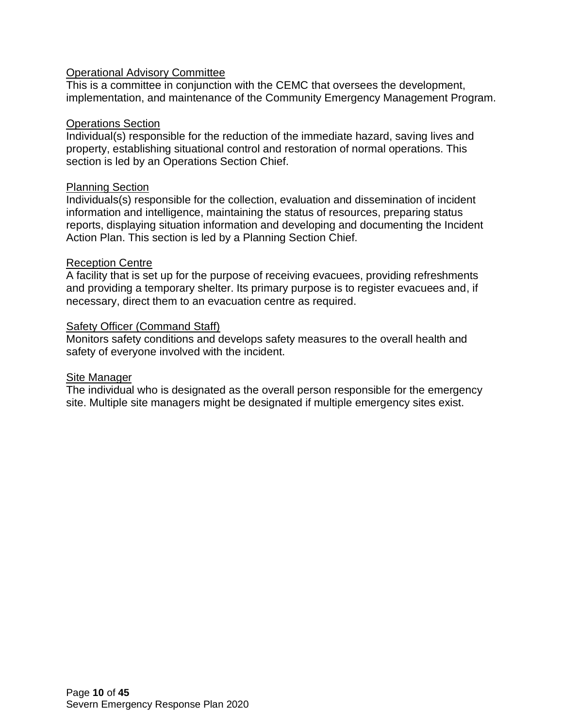#### Operational Advisory Committee

This is a committee in conjunction with the CEMC that oversees the development, implementation, and maintenance of the Community Emergency Management Program.

#### Operations Section

Individual(s) responsible for the reduction of the immediate hazard, saving lives and property, establishing situational control and restoration of normal operations. This section is led by an Operations Section Chief.

#### Planning Section

Individuals(s) responsible for the collection, evaluation and dissemination of incident information and intelligence, maintaining the status of resources, preparing status reports, displaying situation information and developing and documenting the Incident Action Plan. This section is led by a Planning Section Chief.

#### Reception Centre

A facility that is set up for the purpose of receiving evacuees, providing refreshments and providing a temporary shelter. Its primary purpose is to register evacuees and, if necessary, direct them to an evacuation centre as required.

#### Safety Officer (Command Staff)

Monitors safety conditions and develops safety measures to the overall health and safety of everyone involved with the incident.

#### **Site Manager**

The individual who is designated as the overall person responsible for the emergency site. Multiple site managers might be designated if multiple emergency sites exist.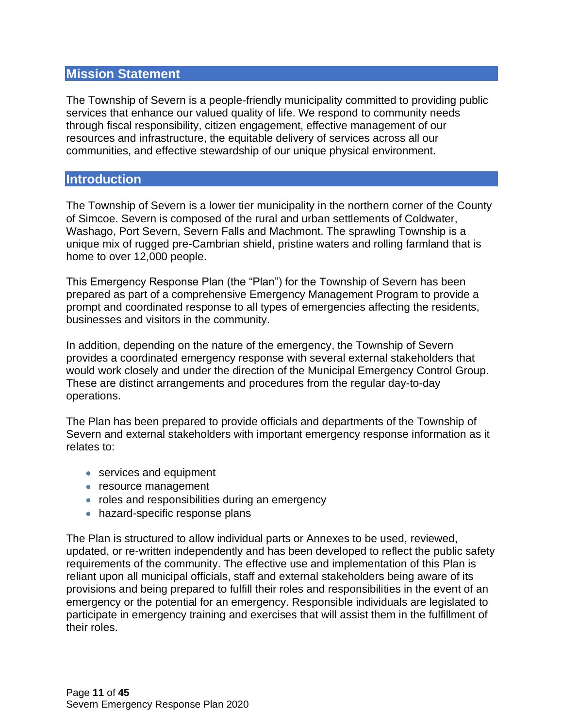#### <span id="page-10-0"></span>**Mission Statement**

The Township of Severn is a people-friendly municipality committed to providing public services that enhance our valued quality of life. We respond to community needs through fiscal responsibility, citizen engagement, effective management of our resources and infrastructure, the equitable delivery of services across all our communities, and effective stewardship of our unique physical environment.

#### <span id="page-10-1"></span>**Introduction**

The Township of Severn is a lower tier municipality in the northern corner of the County of Simcoe. Severn is composed of the rural and urban settlements of Coldwater, Washago, Port Severn, Severn Falls and Machmont. The sprawling Township is a unique mix of rugged pre-Cambrian shield, pristine waters and rolling farmland that is home to over 12,000 people.

This Emergency Response Plan (the "Plan") for the Township of Severn has been prepared as part of a comprehensive Emergency Management Program to provide a prompt and coordinated response to all types of emergencies affecting the residents, businesses and visitors in the community.

In addition, depending on the nature of the emergency, the Township of Severn provides a coordinated emergency response with several external stakeholders that would work closely and under the direction of the Municipal Emergency Control Group. These are distinct arrangements and procedures from the regular day-to-day operations.

The Plan has been prepared to provide officials and departments of the Township of Severn and external stakeholders with important emergency response information as it relates to:

- services and equipment
- resource management
- roles and responsibilities during an emergency
- hazard-specific response plans

The Plan is structured to allow individual parts or Annexes to be used, reviewed, updated, or re-written independently and has been developed to reflect the public safety requirements of the community. The effective use and implementation of this Plan is reliant upon all municipal officials, staff and external stakeholders being aware of its provisions and being prepared to fulfill their roles and responsibilities in the event of an emergency or the potential for an emergency. Responsible individuals are legislated to participate in emergency training and exercises that will assist them in the fulfillment of their roles.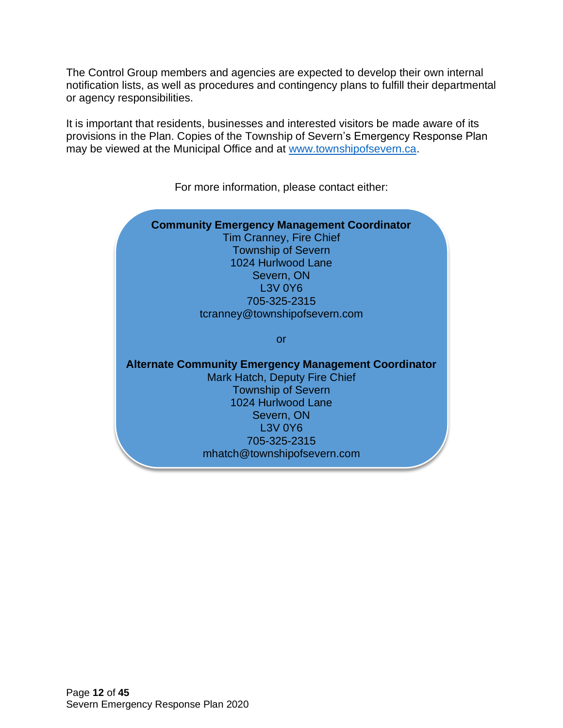The Control Group members and agencies are expected to develop their own internal notification lists, as well as procedures and contingency plans to fulfill their departmental or agency responsibilities.

It is important that residents, businesses and interested visitors be made aware of its provisions in the Plan. Copies of the Township of Severn's Emergency Response Plan may be viewed at the Municipal Office and at [www.townshipofsevern.ca.](http://www.townshipofsevern.ca/)



For more information, please contact either: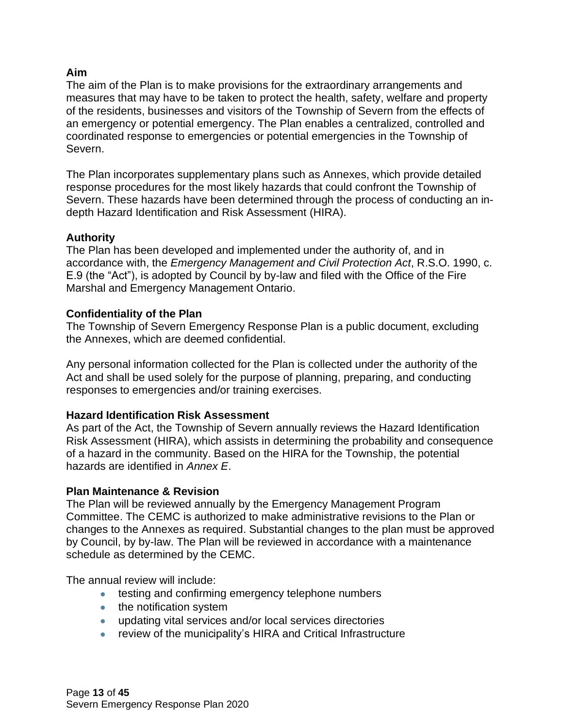#### **Aim**

The aim of the Plan is to make provisions for the extraordinary arrangements and measures that may have to be taken to protect the health, safety, welfare and property of the residents, businesses and visitors of the Township of Severn from the effects of an emergency or potential emergency. The Plan enables a centralized, controlled and coordinated response to emergencies or potential emergencies in the Township of Severn.

The Plan incorporates supplementary plans such as Annexes, which provide detailed response procedures for the most likely hazards that could confront the Township of Severn. These hazards have been determined through the process of conducting an indepth Hazard Identification and Risk Assessment (HIRA).

#### **Authority**

The Plan has been developed and implemented under the authority of, and in accordance with, the *Emergency Management and Civil Protection Act*, R.S.O. 1990, c. E.9 (the "Act"), is adopted by Council by by-law and filed with the Office of the Fire Marshal and Emergency Management Ontario.

#### **Confidentiality of the Plan**

The Township of Severn Emergency Response Plan is a public document, excluding the Annexes, which are deemed confidential.

Any personal information collected for the Plan is collected under the authority of the Act and shall be used solely for the purpose of planning, preparing, and conducting responses to emergencies and/or training exercises.

#### **Hazard Identification Risk Assessment**

As part of the Act, the Township of Severn annually reviews the Hazard Identification Risk Assessment (HIRA), which assists in determining the probability and consequence of a hazard in the community. Based on the HIRA for the Township, the potential hazards are identified in *Annex E*.

#### **Plan Maintenance & Revision**

The Plan will be reviewed annually by the Emergency Management Program Committee. The CEMC is authorized to make administrative revisions to the Plan or changes to the Annexes as required. Substantial changes to the plan must be approved by Council, by by-law. The Plan will be reviewed in accordance with a maintenance schedule as determined by the CEMC.

The annual review will include:

- testing and confirming emergency telephone numbers
- the notification system
- updating vital services and/or local services directories
- review of the municipality's HIRA and Critical Infrastructure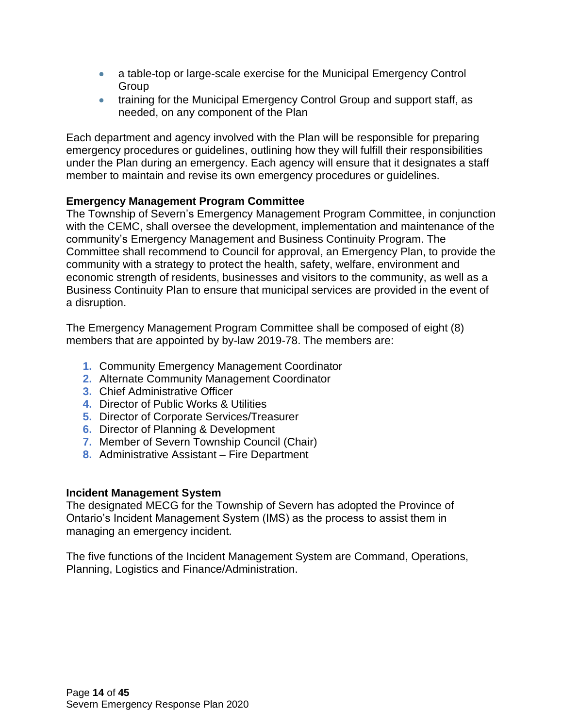- a table-top or large-scale exercise for the Municipal Emergency Control Group
- training for the Municipal Emergency Control Group and support staff, as needed, on any component of the Plan

Each department and agency involved with the Plan will be responsible for preparing emergency procedures or guidelines, outlining how they will fulfill their responsibilities under the Plan during an emergency. Each agency will ensure that it designates a staff member to maintain and revise its own emergency procedures or guidelines.

#### **Emergency Management Program Committee**

The Township of Severn's Emergency Management Program Committee, in conjunction with the CEMC, shall oversee the development, implementation and maintenance of the community's Emergency Management and Business Continuity Program. The Committee shall recommend to Council for approval, an Emergency Plan, to provide the community with a strategy to protect the health, safety, welfare, environment and economic strength of residents, businesses and visitors to the community, as well as a Business Continuity Plan to ensure that municipal services are provided in the event of a disruption.

The Emergency Management Program Committee shall be composed of eight (8) members that are appointed by by-law 2019-78. The members are:

- **1.** Community Emergency Management Coordinator
- **2.** Alternate Community Management Coordinator
- **3.** Chief Administrative Officer
- **4.** Director of Public Works & Utilities
- **5.** Director of Corporate Services/Treasurer
- **6.** Director of Planning & Development
- **7.** Member of Severn Township Council (Chair)
- **8.** Administrative Assistant Fire Department

### **Incident Management System**

The designated MECG for the Township of Severn has adopted the Province of Ontario's Incident Management System (IMS) as the process to assist them in managing an emergency incident.

The five functions of the Incident Management System are Command, Operations, Planning, Logistics and Finance/Administration.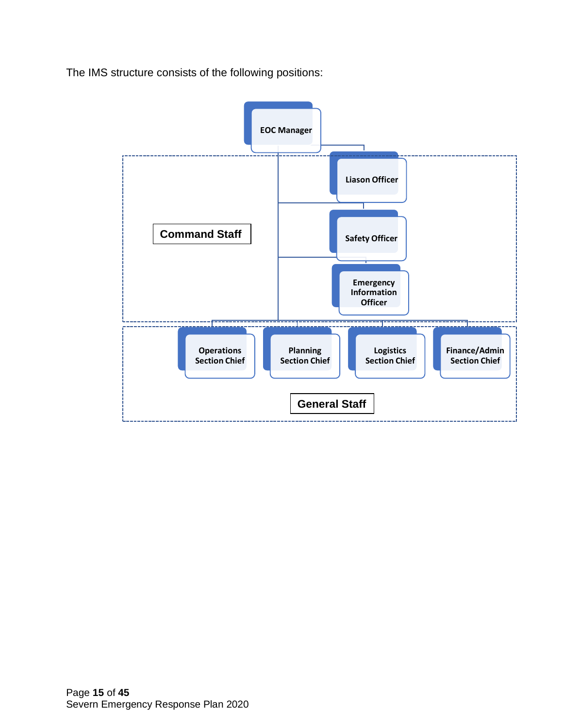The IMS structure consists of the following positions:

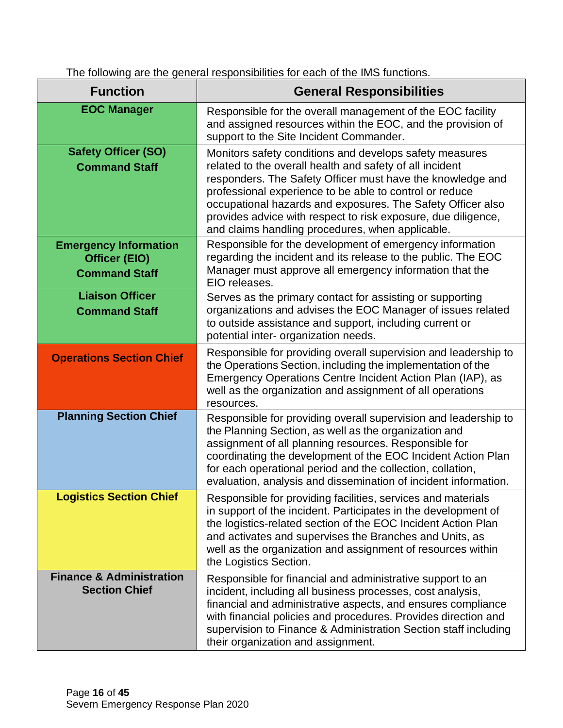The following are the general responsibilities for each of the IMS functions.

| <b>Function</b>                                                              | <b>General Responsibilities</b>                                                                                                                                                                                                                                                                                                                                                                                                  |
|------------------------------------------------------------------------------|----------------------------------------------------------------------------------------------------------------------------------------------------------------------------------------------------------------------------------------------------------------------------------------------------------------------------------------------------------------------------------------------------------------------------------|
| <b>EOC Manager</b>                                                           | Responsible for the overall management of the EOC facility<br>and assigned resources within the EOC, and the provision of<br>support to the Site Incident Commander.                                                                                                                                                                                                                                                             |
| <b>Safety Officer (SO)</b><br><b>Command Staff</b>                           | Monitors safety conditions and develops safety measures<br>related to the overall health and safety of all incident<br>responders. The Safety Officer must have the knowledge and<br>professional experience to be able to control or reduce<br>occupational hazards and exposures. The Safety Officer also<br>provides advice with respect to risk exposure, due diligence,<br>and claims handling procedures, when applicable. |
| <b>Emergency Information</b><br><b>Officer (EIO)</b><br><b>Command Staff</b> | Responsible for the development of emergency information<br>regarding the incident and its release to the public. The EOC<br>Manager must approve all emergency information that the<br>EIO releases.                                                                                                                                                                                                                            |
| <b>Liaison Officer</b><br><b>Command Staff</b>                               | Serves as the primary contact for assisting or supporting<br>organizations and advises the EOC Manager of issues related<br>to outside assistance and support, including current or<br>potential inter- organization needs.                                                                                                                                                                                                      |
| <b>Operations Section Chief</b>                                              | Responsible for providing overall supervision and leadership to<br>the Operations Section, including the implementation of the<br>Emergency Operations Centre Incident Action Plan (IAP), as<br>well as the organization and assignment of all operations<br>resources.                                                                                                                                                          |
| <b>Planning Section Chief</b>                                                | Responsible for providing overall supervision and leadership to<br>the Planning Section, as well as the organization and<br>assignment of all planning resources. Responsible for<br>coordinating the development of the EOC Incident Action Plan<br>for each operational period and the collection, collation,<br>evaluation, analysis and dissemination of incident information.                                               |
| <b>Logistics Section Chief</b>                                               | Responsible for providing facilities, services and materials<br>in support of the incident. Participates in the development of<br>the logistics-related section of the EOC Incident Action Plan<br>and activates and supervises the Branches and Units, as<br>well as the organization and assignment of resources within<br>the Logistics Section.                                                                              |
| <b>Finance &amp; Administration</b><br><b>Section Chief</b>                  | Responsible for financial and administrative support to an<br>incident, including all business processes, cost analysis,<br>financial and administrative aspects, and ensures compliance<br>with financial policies and procedures. Provides direction and<br>supervision to Finance & Administration Section staff including<br>their organization and assignment.                                                              |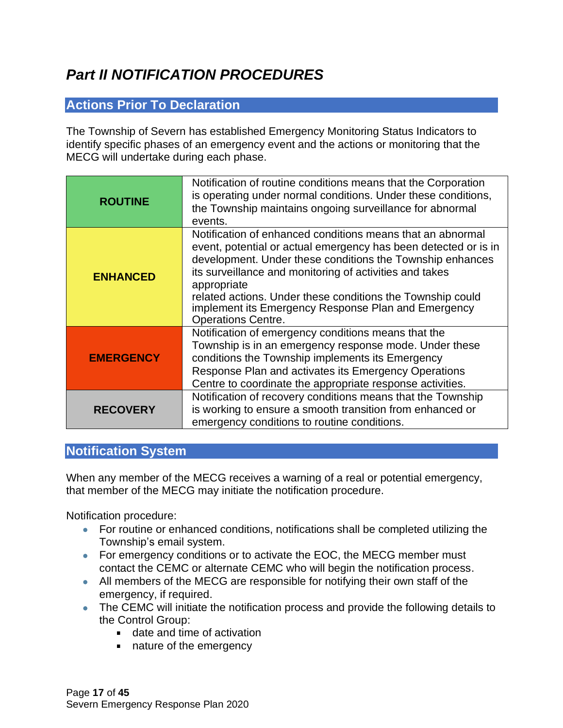# <span id="page-16-0"></span>*Part II NOTIFICATION PROCEDURES*

# <span id="page-16-1"></span>**Actions Prior To Declaration**

The Township of Severn has established Emergency Monitoring Status Indicators to identify specific phases of an emergency event and the actions or monitoring that the MECG will undertake during each phase.

| <b>ROUTINE</b>   | Notification of routine conditions means that the Corporation<br>is operating under normal conditions. Under these conditions,<br>the Township maintains ongoing surveillance for abnormal<br>events.                                                                                                                                                                                                                  |
|------------------|------------------------------------------------------------------------------------------------------------------------------------------------------------------------------------------------------------------------------------------------------------------------------------------------------------------------------------------------------------------------------------------------------------------------|
| <b>ENHANCED</b>  | Notification of enhanced conditions means that an abnormal<br>event, potential or actual emergency has been detected or is in<br>development. Under these conditions the Township enhances<br>its surveillance and monitoring of activities and takes<br>appropriate<br>related actions. Under these conditions the Township could<br>implement its Emergency Response Plan and Emergency<br><b>Operations Centre.</b> |
| <b>EMERGENCY</b> | Notification of emergency conditions means that the<br>Township is in an emergency response mode. Under these<br>conditions the Township implements its Emergency<br>Response Plan and activates its Emergency Operations<br>Centre to coordinate the appropriate response activities.                                                                                                                                 |
| <b>RECOVERY</b>  | Notification of recovery conditions means that the Township<br>is working to ensure a smooth transition from enhanced or<br>emergency conditions to routine conditions.                                                                                                                                                                                                                                                |

# <span id="page-16-2"></span>**Notification System**

When any member of the MECG receives a warning of a real or potential emergency, that member of the MECG may initiate the notification procedure.

Notification procedure:

- For routine or enhanced conditions, notifications shall be completed utilizing the Township's email system.
- For emergency conditions or to activate the EOC, the MECG member must contact the CEMC or alternate CEMC who will begin the notification process.
- All members of the MECG are responsible for notifying their own staff of the emergency, if required.
- The CEMC will initiate the notification process and provide the following details to the Control Group:
	- date and time of activation
	- nature of the emergency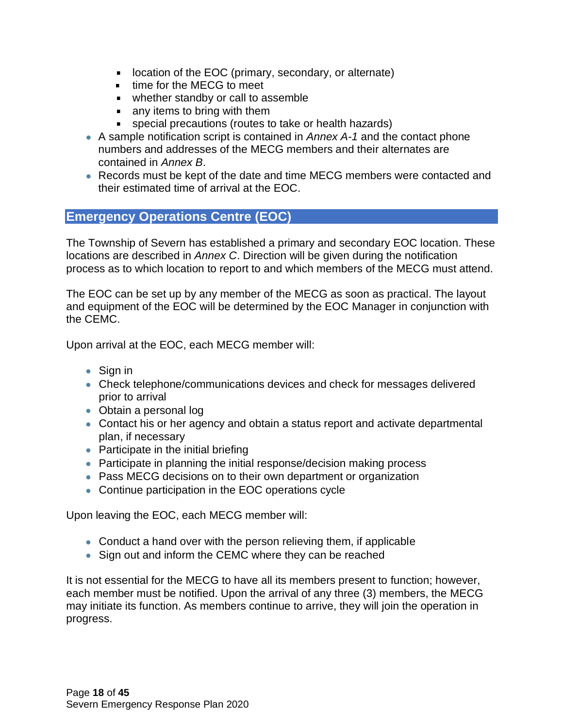- $\mathbf{u}$ location of the EOC (primary, secondary, or alternate)
- **time for the MECG to meet**
- whether standby or call to assemble
- any items to bring with them
- special precautions (routes to take or health hazards)  $\blacksquare$
- A sample notification script is contained in *Annex A-1* and the contact phone numbers and addresses of the MECG members and their alternates are contained in *Annex B*.
- Records must be kept of the date and time MECG members were contacted and their estimated time of arrival at the EOC.

### <span id="page-17-0"></span>**Emergency Operations Centre (EOC)**

The Township of Severn has established a primary and secondary EOC location. These locations are described in *Annex C*. Direction will be given during the notification process as to which location to report to and which members of the MECG must attend.

The EOC can be set up by any member of the MECG as soon as practical. The layout and equipment of the EOC will be determined by the EOC Manager in conjunction with the CEMC.

Upon arrival at the EOC, each MECG member will:

- Sign in
- Check telephone/communications devices and check for messages delivered prior to arrival
- Obtain a personal log
- Contact his or her agency and obtain a status report and activate departmental plan, if necessary
- Participate in the initial briefing
- Participate in planning the initial response/decision making process
- Pass MECG decisions on to their own department or organization
- Continue participation in the EOC operations cycle

Upon leaving the EOC, each MECG member will:

- Conduct a hand over with the person relieving them, if applicable
- Sign out and inform the CEMC where they can be reached

It is not essential for the MECG to have all its members present to function; however, each member must be notified. Upon the arrival of any three (3) members, the MECG may initiate its function. As members continue to arrive, they will join the operation in progress.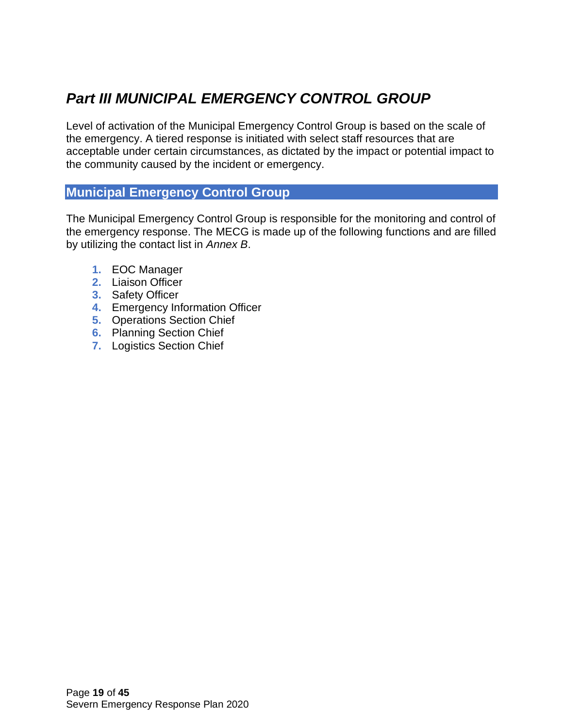# <span id="page-18-0"></span>*Part III MUNICIPAL EMERGENCY CONTROL GROUP*

Level of activation of the Municipal Emergency Control Group is based on the scale of the emergency. A tiered response is initiated with select staff resources that are acceptable under certain circumstances, as dictated by the impact or potential impact to the community caused by the incident or emergency.

### <span id="page-18-1"></span>**Municipal Emergency Control Group**

The Municipal Emergency Control Group is responsible for the monitoring and control of the emergency response. The MECG is made up of the following functions and are filled by utilizing the contact list in *Annex B*.

- **1.** EOC Manager
- **2.** Liaison Officer
- **3.** Safety Officer
- **4.** Emergency Information Officer
- **5.** Operations Section Chief
- **6.** Planning Section Chief
- **7.** Logistics Section Chief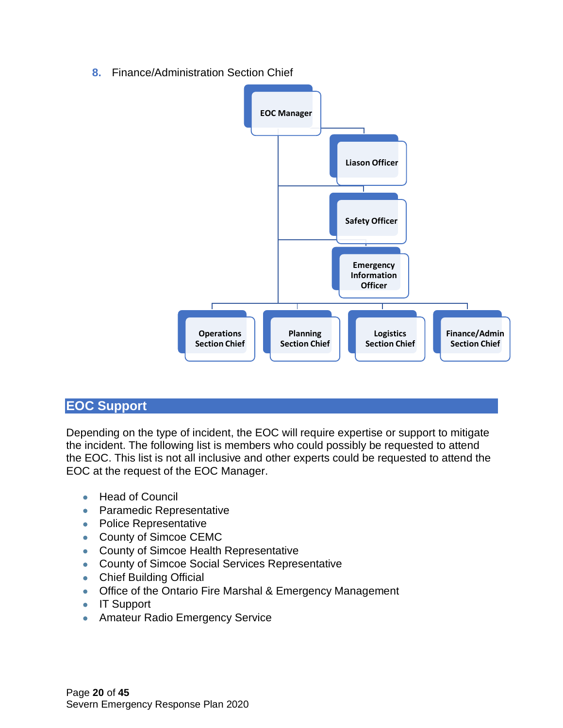**8.** Finance/Administration Section Chief



# <span id="page-19-0"></span>**EOC Support**

Depending on the type of incident, the EOC will require expertise or support to mitigate the incident. The following list is members who could possibly be requested to attend the EOC. This list is not all inclusive and other experts could be requested to attend the EOC at the request of the EOC Manager.

- Head of Council
- Paramedic Representative
- Police Representative
- County of Simcoe CEMC
- County of Simcoe Health Representative
- County of Simcoe Social Services Representative
- Chief Building Official
- Office of the Ontario Fire Marshal & Emergency Management
- IT Support
- Amateur Radio Emergency Service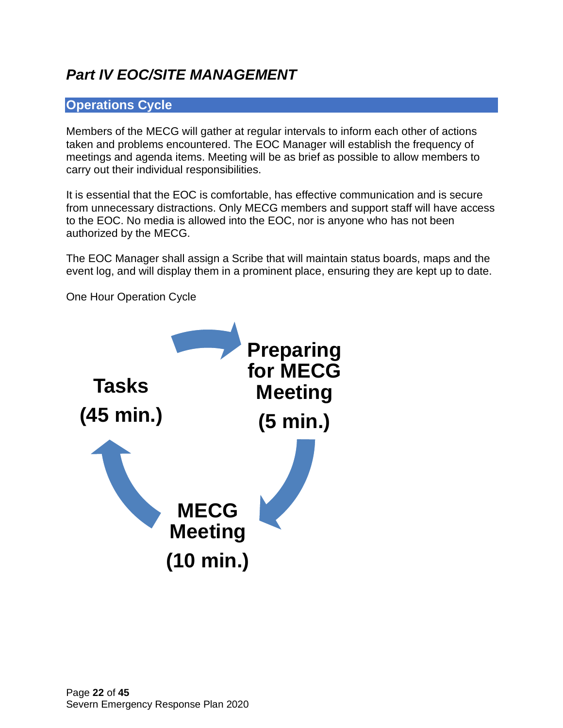# <span id="page-21-0"></span>*Part IV EOC/SITE MANAGEMENT*

# <span id="page-21-1"></span>**Operations Cycle**

Members of the MECG will gather at regular intervals to inform each other of actions taken and problems encountered. The EOC Manager will establish the frequency of meetings and agenda items. Meeting will be as brief as possible to allow members to carry out their individual responsibilities.

It is essential that the EOC is comfortable, has effective communication and is secure from unnecessary distractions. Only MECG members and support staff will have access to the EOC. No media is allowed into the EOC, nor is anyone who has not been authorized by the MECG.

The EOC Manager shall assign a Scribe that will maintain status boards, maps and the event log, and will display them in a prominent place, ensuring they are kept up to date.

One Hour Operation Cycle

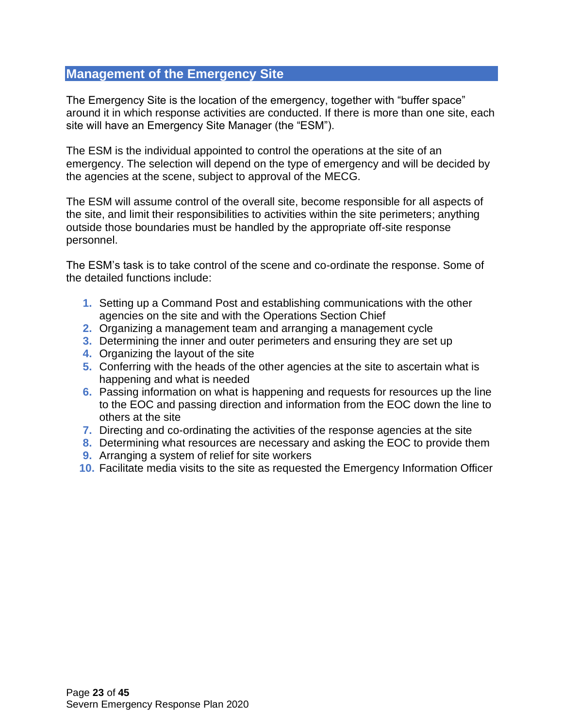#### <span id="page-22-0"></span>**Management of the Emergency Site**

The Emergency Site is the location of the emergency, together with "buffer space" around it in which response activities are conducted. If there is more than one site, each site will have an Emergency Site Manager (the "ESM").

The ESM is the individual appointed to control the operations at the site of an emergency. The selection will depend on the type of emergency and will be decided by the agencies at the scene, subject to approval of the MECG.

The ESM will assume control of the overall site, become responsible for all aspects of the site, and limit their responsibilities to activities within the site perimeters; anything outside those boundaries must be handled by the appropriate off-site response personnel.

The ESM's task is to take control of the scene and co-ordinate the response. Some of the detailed functions include:

- **1.** Setting up a Command Post and establishing communications with the other agencies on the site and with the Operations Section Chief
- **2.** Organizing a management team and arranging a management cycle
- **3.** Determining the inner and outer perimeters and ensuring they are set up
- **4.** Organizing the layout of the site
- **5.** Conferring with the heads of the other agencies at the site to ascertain what is happening and what is needed
- **6.** Passing information on what is happening and requests for resources up the line to the EOC and passing direction and information from the EOC down the line to others at the site
- **7.** Directing and co-ordinating the activities of the response agencies at the site
- **8.** Determining what resources are necessary and asking the EOC to provide them
- **9.** Arranging a system of relief for site workers
- **10.** Facilitate media visits to the site as requested the Emergency Information Officer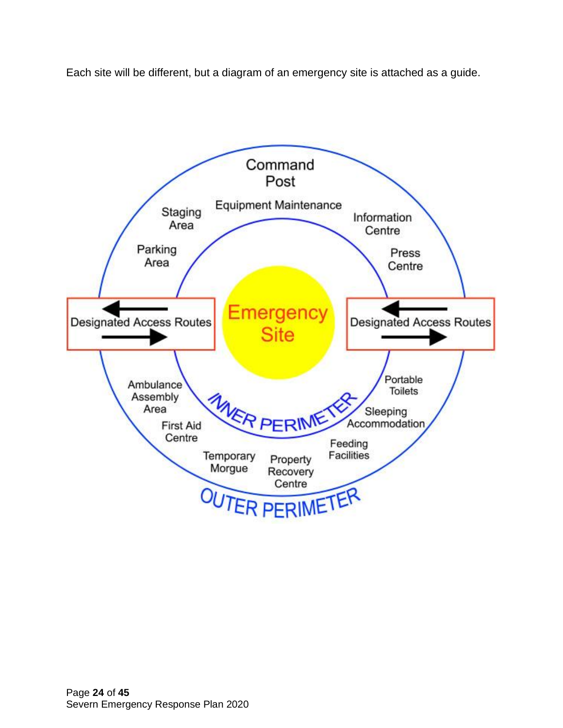Each site will be different, but a diagram of an emergency site is attached as a guide.

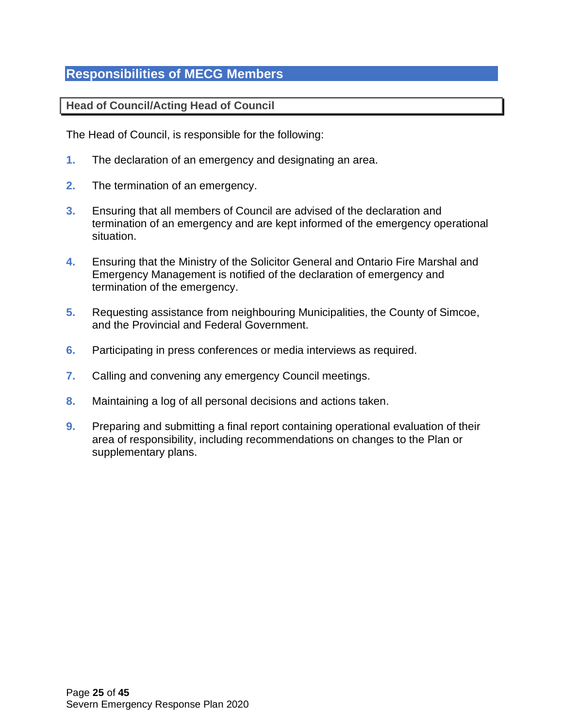# <span id="page-24-0"></span>**Responsibilities of MECG Members**

<span id="page-24-1"></span>**Head of Council/Acting Head of Council** 

The Head of Council, is responsible for the following:

- **1.** The declaration of an emergency and designating an area.
- **2.** The termination of an emergency.
- **3.** Ensuring that all members of Council are advised of the declaration and termination of an emergency and are kept informed of the emergency operational situation.
- **4.** Ensuring that the Ministry of the Solicitor General and Ontario Fire Marshal and Emergency Management is notified of the declaration of emergency and termination of the emergency.
- **5.** Requesting assistance from neighbouring Municipalities, the County of Simcoe, and the Provincial and Federal Government.
- **6.** Participating in press conferences or media interviews as required.
- **7.** Calling and convening any emergency Council meetings.
- **8.** Maintaining a log of all personal decisions and actions taken.
- **9.** Preparing and submitting a final report containing operational evaluation of their area of responsibility, including recommendations on changes to the Plan or supplementary plans.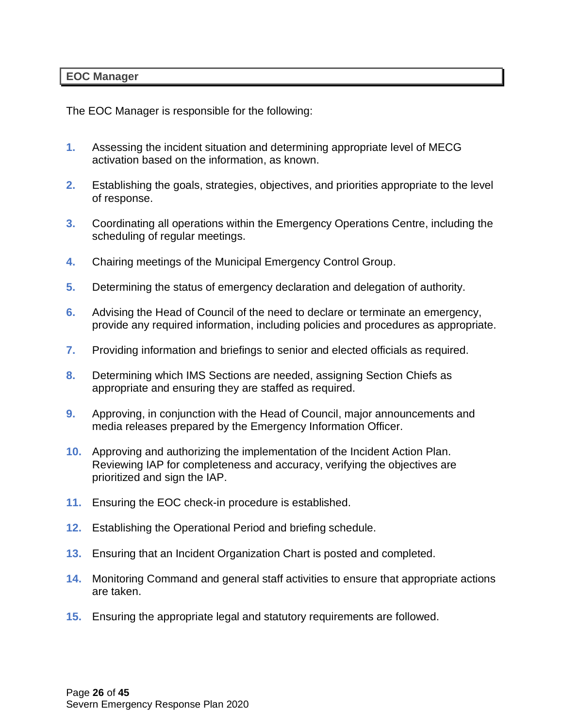#### <span id="page-25-0"></span>**EOC Manager**

The EOC Manager is responsible for the following:

- **1.** Assessing the incident situation and determining appropriate level of MECG activation based on the information, as known.
- **2.** Establishing the goals, strategies, objectives, and priorities appropriate to the level of response.
- **3.** Coordinating all operations within the Emergency Operations Centre, including the scheduling of regular meetings.
- **4.** Chairing meetings of the Municipal Emergency Control Group.
- **5.** Determining the status of emergency declaration and delegation of authority.
- **6.** Advising the Head of Council of the need to declare or terminate an emergency, provide any required information, including policies and procedures as appropriate.
- **7.** Providing information and briefings to senior and elected officials as required.
- **8.** Determining which IMS Sections are needed, assigning Section Chiefs as appropriate and ensuring they are staffed as required.
- **9.** Approving, in conjunction with the Head of Council, major announcements and media releases prepared by the Emergency Information Officer.
- **10.** Approving and authorizing the implementation of the Incident Action Plan. Reviewing IAP for completeness and accuracy, verifying the objectives are prioritized and sign the IAP.
- **11.** Ensuring the EOC check-in procedure is established.
- **12.** Establishing the Operational Period and briefing schedule.
- **13.** Ensuring that an Incident Organization Chart is posted and completed.
- **14.** Monitoring Command and general staff activities to ensure that appropriate actions are taken.
- **15.** Ensuring the appropriate legal and statutory requirements are followed.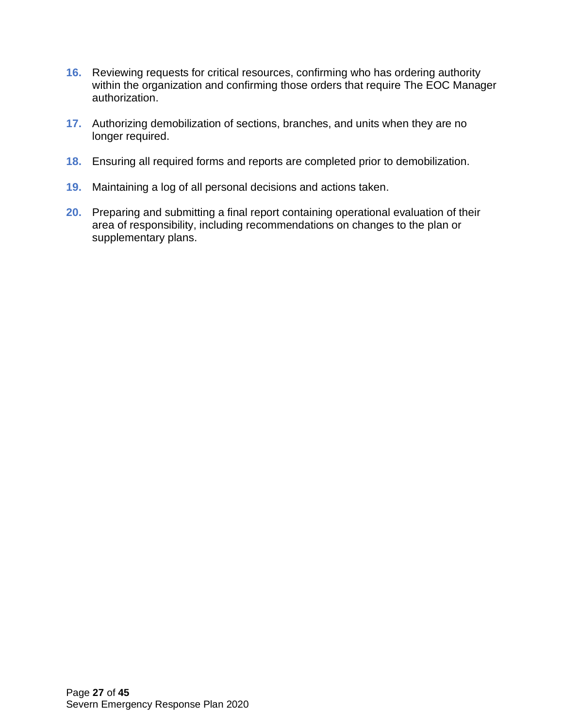- **16.** Reviewing requests for critical resources, confirming who has ordering authority within the organization and confirming those orders that require The EOC Manager authorization.
- **17.** Authorizing demobilization of sections, branches, and units when they are no longer required.
- **18.** Ensuring all required forms and reports are completed prior to demobilization.
- **19.** Maintaining a log of all personal decisions and actions taken.
- **20.** Preparing and submitting a final report containing operational evaluation of their area of responsibility, including recommendations on changes to the plan or supplementary plans.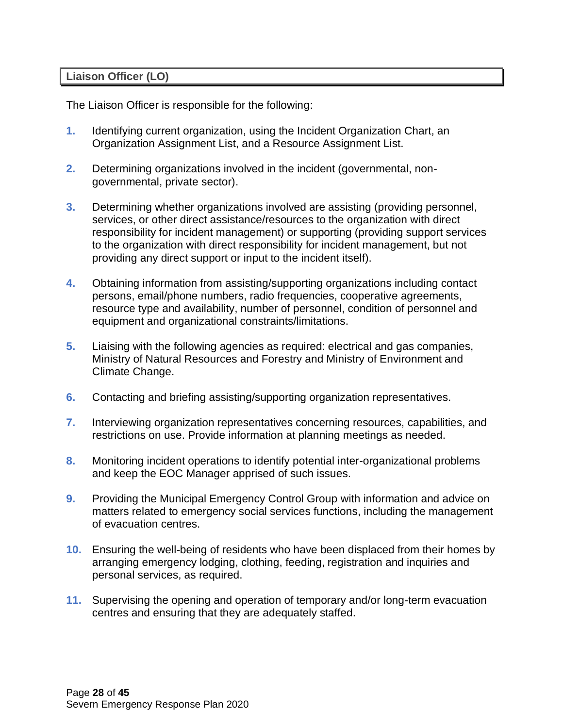#### <span id="page-27-0"></span>**Liaison Officer (LO)**

The Liaison Officer is responsible for the following:

- **1.** Identifying current organization, using the Incident Organization Chart, an Organization Assignment List, and a Resource Assignment List.
- **2.** Determining organizations involved in the incident (governmental, nongovernmental, private sector).
- **3.** Determining whether organizations involved are assisting (providing personnel, services, or other direct assistance/resources to the organization with direct responsibility for incident management) or supporting (providing support services to the organization with direct responsibility for incident management, but not providing any direct support or input to the incident itself).
- **4.** Obtaining information from assisting/supporting organizations including contact persons, email/phone numbers, radio frequencies, cooperative agreements, resource type and availability, number of personnel, condition of personnel and equipment and organizational constraints/limitations.
- **5.** Liaising with the following agencies as required: electrical and gas companies, Ministry of Natural Resources and Forestry and Ministry of Environment and Climate Change.
- **6.** Contacting and briefing assisting/supporting organization representatives.
- **7.** Interviewing organization representatives concerning resources, capabilities, and restrictions on use. Provide information at planning meetings as needed.
- **8.** Monitoring incident operations to identify potential inter-organizational problems and keep the EOC Manager apprised of such issues.
- **9.** Providing the Municipal Emergency Control Group with information and advice on matters related to emergency social services functions, including the management of evacuation centres.
- **10.** Ensuring the well-being of residents who have been displaced from their homes by arranging emergency lodging, clothing, feeding, registration and inquiries and personal services, as required.
- **11.** Supervising the opening and operation of temporary and/or long-term evacuation centres and ensuring that they are adequately staffed.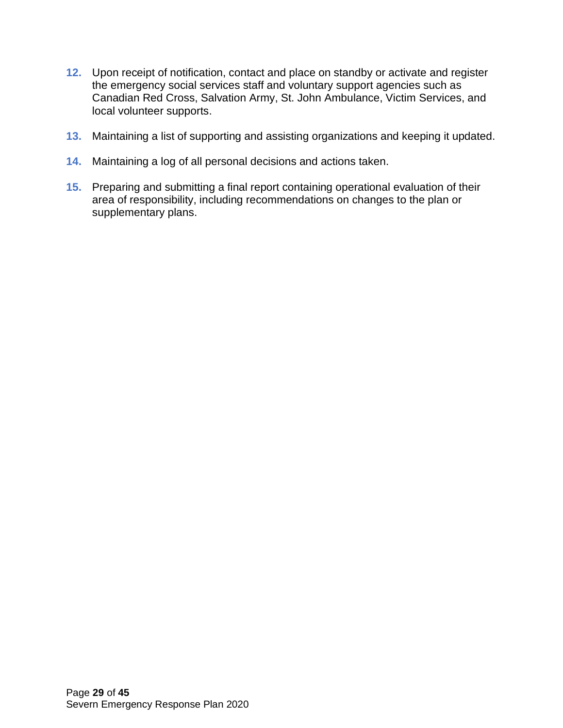- **12.** Upon receipt of notification, contact and place on standby or activate and register the emergency social services staff and voluntary support agencies such as Canadian Red Cross, Salvation Army, St. John Ambulance, Victim Services, and local volunteer supports.
- **13.** Maintaining a list of supporting and assisting organizations and keeping it updated.
- **14.** Maintaining a log of all personal decisions and actions taken.
- **15.** Preparing and submitting a final report containing operational evaluation of their area of responsibility, including recommendations on changes to the plan or supplementary plans.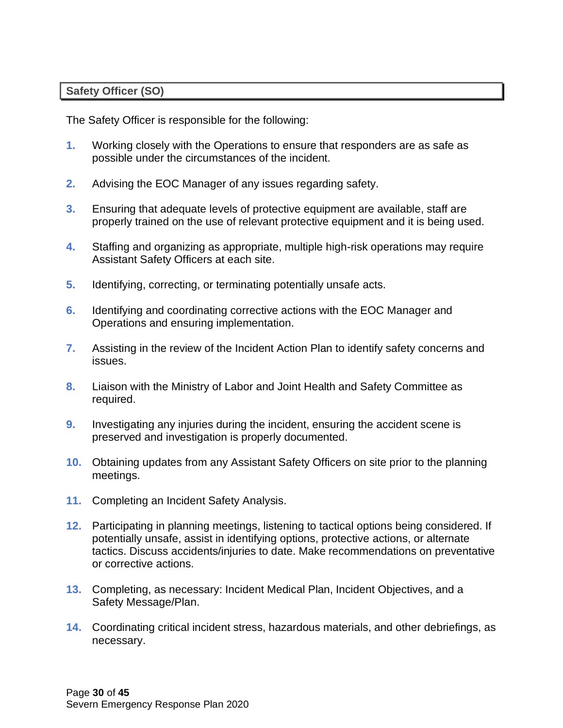#### <span id="page-29-0"></span>**Safety Officer (SO)**

The Safety Officer is responsible for the following:

- **1.** Working closely with the Operations to ensure that responders are as safe as possible under the circumstances of the incident.
- **2.** Advising the EOC Manager of any issues regarding safety.
- **3.** Ensuring that adequate levels of protective equipment are available, staff are properly trained on the use of relevant protective equipment and it is being used.
- **4.** Staffing and organizing as appropriate, multiple high-risk operations may require Assistant Safety Officers at each site.
- **5.** Identifying, correcting, or terminating potentially unsafe acts.
- **6.** Identifying and coordinating corrective actions with the EOC Manager and Operations and ensuring implementation.
- **7.** Assisting in the review of the Incident Action Plan to identify safety concerns and issues.
- **8.** Liaison with the Ministry of Labor and Joint Health and Safety Committee as required.
- **9.** Investigating any injuries during the incident, ensuring the accident scene is preserved and investigation is properly documented.
- **10.** Obtaining updates from any Assistant Safety Officers on site prior to the planning meetings.
- **11.** Completing an Incident Safety Analysis.
- **12.** Participating in planning meetings, listening to tactical options being considered. If potentially unsafe, assist in identifying options, protective actions, or alternate tactics. Discuss accidents/injuries to date. Make recommendations on preventative or corrective actions.
- **13.** Completing, as necessary: Incident Medical Plan, Incident Objectives, and a Safety Message/Plan.
- **14.** Coordinating critical incident stress, hazardous materials, and other debriefings, as necessary.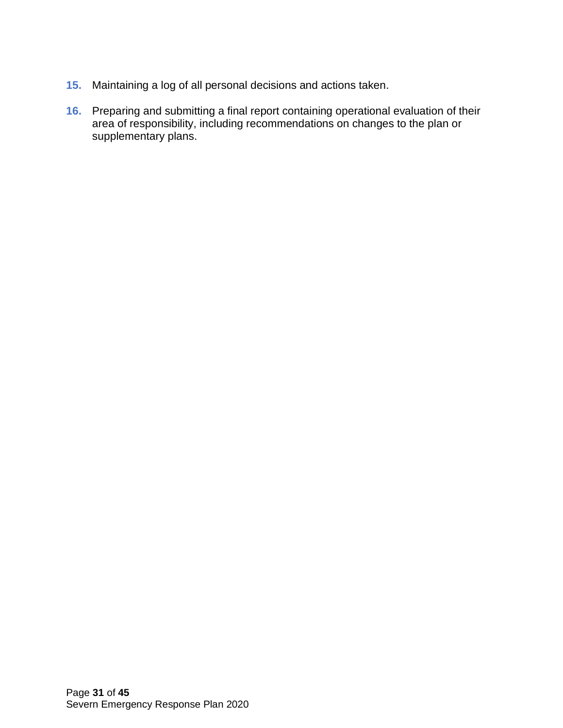- **15.** Maintaining a log of all personal decisions and actions taken.
- **16.** Preparing and submitting a final report containing operational evaluation of their area of responsibility, including recommendations on changes to the plan or supplementary plans.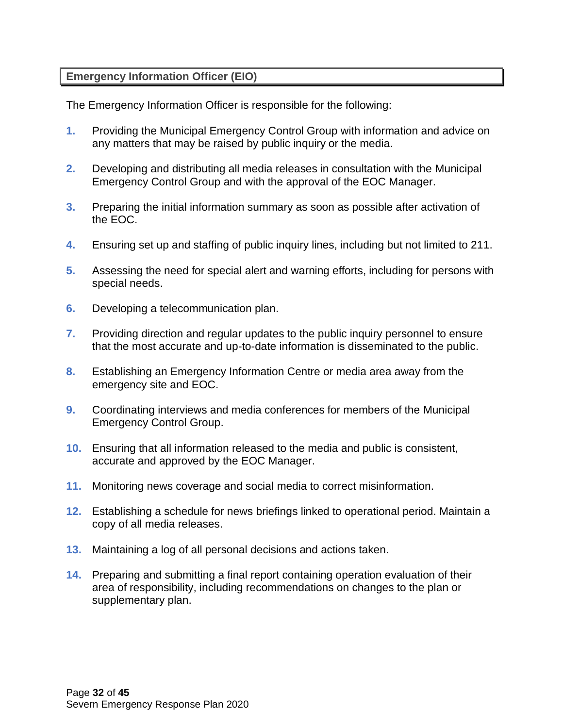### <span id="page-31-0"></span>**Emergency Information Officer (EIO)**

The Emergency Information Officer is responsible for the following:

- **1.** Providing the Municipal Emergency Control Group with information and advice on any matters that may be raised by public inquiry or the media.
- **2.** Developing and distributing all media releases in consultation with the Municipal Emergency Control Group and with the approval of the EOC Manager.
- **3.** Preparing the initial information summary as soon as possible after activation of the EOC.
- **4.** Ensuring set up and staffing of public inquiry lines, including but not limited to 211.
- **5.** Assessing the need for special alert and warning efforts, including for persons with special needs.
- **6.** Developing a telecommunication plan.
- **7.** Providing direction and regular updates to the public inquiry personnel to ensure that the most accurate and up-to-date information is disseminated to the public.
- **8.** Establishing an Emergency Information Centre or media area away from the emergency site and EOC.
- **9.** Coordinating interviews and media conferences for members of the Municipal Emergency Control Group.
- **10.** Ensuring that all information released to the media and public is consistent, accurate and approved by the EOC Manager.
- **11.** Monitoring news coverage and social media to correct misinformation.
- **12.** Establishing a schedule for news briefings linked to operational period. Maintain a copy of all media releases.
- **13.** Maintaining a log of all personal decisions and actions taken.
- **14.** Preparing and submitting a final report containing operation evaluation of their area of responsibility, including recommendations on changes to the plan or supplementary plan.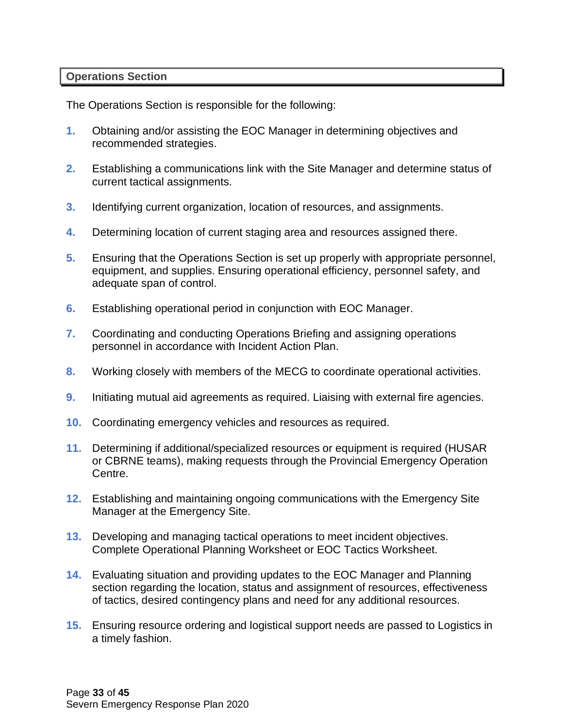#### <span id="page-32-0"></span>**Operations Section**

The Operations Section is responsible for the following:

- **1.** Obtaining and/or assisting the EOC Manager in determining objectives and recommended strategies.
- **2.** Establishing a communications link with the Site Manager and determine status of current tactical assignments.
- **3.** Identifying current organization, location of resources, and assignments.
- **4.** Determining location of current staging area and resources assigned there.
- **5.** Ensuring that the Operations Section is set up properly with appropriate personnel, equipment, and supplies. Ensuring operational efficiency, personnel safety, and adequate span of control.
- **6.** Establishing operational period in conjunction with EOC Manager.
- **7.** Coordinating and conducting Operations Briefing and assigning operations personnel in accordance with Incident Action Plan.
- **8.** Working closely with members of the MECG to coordinate operational activities.
- **9.** Initiating mutual aid agreements as required. Liaising with external fire agencies.
- **10.** Coordinating emergency vehicles and resources as required.
- **11.** Determining if additional/specialized resources or equipment is required (HUSAR or CBRNE teams), making requests through the Provincial Emergency Operation Centre.
- **12.** Establishing and maintaining ongoing communications with the Emergency Site Manager at the Emergency Site.
- **13.** Developing and managing tactical operations to meet incident objectives. Complete Operational Planning Worksheet or EOC Tactics Worksheet.
- **14.** Evaluating situation and providing updates to the EOC Manager and Planning section regarding the location, status and assignment of resources, effectiveness of tactics, desired contingency plans and need for any additional resources.
- **15.** Ensuring resource ordering and logistical support needs are passed to Logistics in a timely fashion.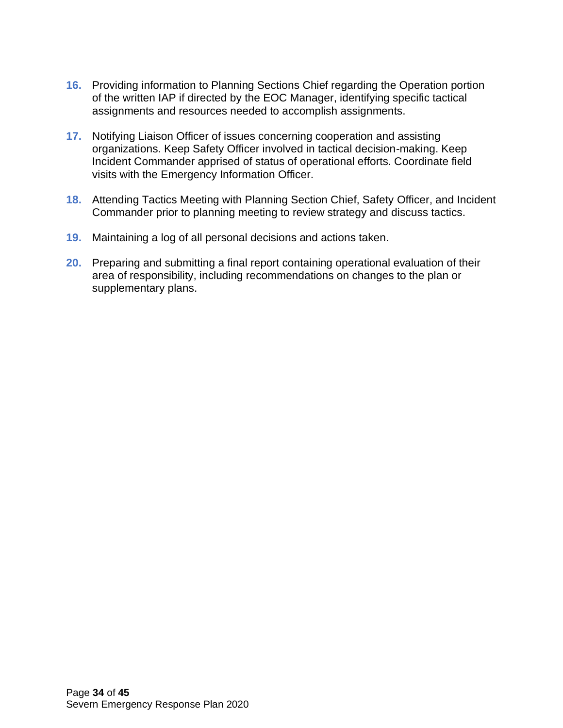- **16.** Providing information to Planning Sections Chief regarding the Operation portion of the written IAP if directed by the EOC Manager, identifying specific tactical assignments and resources needed to accomplish assignments.
- **17.** Notifying Liaison Officer of issues concerning cooperation and assisting organizations. Keep Safety Officer involved in tactical decision-making. Keep Incident Commander apprised of status of operational efforts. Coordinate field visits with the Emergency Information Officer.
- **18.** Attending Tactics Meeting with Planning Section Chief, Safety Officer, and Incident Commander prior to planning meeting to review strategy and discuss tactics.
- **19.** Maintaining a log of all personal decisions and actions taken.
- **20.** Preparing and submitting a final report containing operational evaluation of their area of responsibility, including recommendations on changes to the plan or supplementary plans.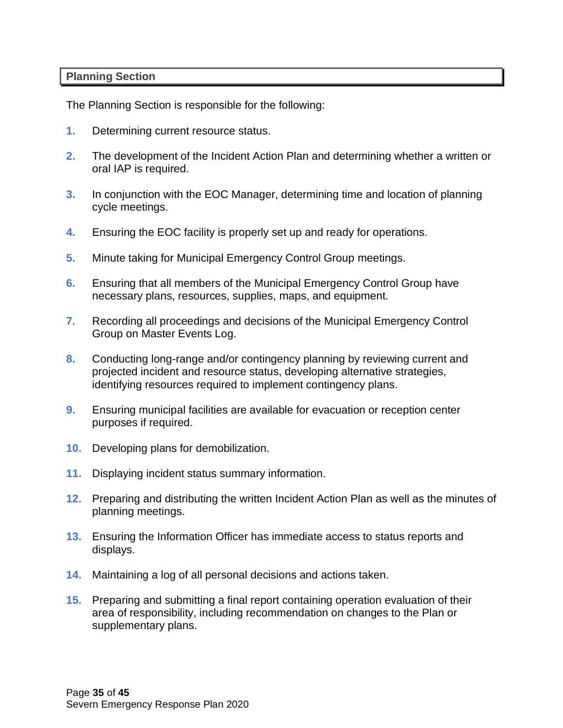#### <span id="page-34-0"></span>**Planning Section**

The Planning Section is responsible for the following:

- **1.** Determining current resource status.
- **2.** The development of the Incident Action Plan and determining whether a written or oral IAP is required.
- **3.** In conjunction with the EOC Manager, determining time and location of planning cycle meetings.
- **4.** Ensuring the EOC facility is properly set up and ready for operations.
- **5.** Minute taking for Municipal Emergency Control Group meetings.
- **6.** Ensuring that all members of the Municipal Emergency Control Group have necessary plans, resources, supplies, maps, and equipment.
- **7.** Recording all proceedings and decisions of the Municipal Emergency Control Group on Master Events Log.
- **8.** Conducting long-range and/or contingency planning by reviewing current and projected incident and resource status, developing alternative strategies, identifying resources required to implement contingency plans.
- **9.** Ensuring municipal facilities are available for evacuation or reception center purposes if required.
- **10.** Developing plans for demobilization.
- **11.** Displaying incident status summary information.
- **12.** Preparing and distributing the written Incident Action Plan as well as the minutes of planning meetings.
- **13.** Ensuring the Information Officer has immediate access to status reports and displays.
- **14.** Maintaining a log of all personal decisions and actions taken.
- **15.** Preparing and submitting a final report containing operation evaluation of their area of responsibility, including recommendation on changes to the Plan or supplementary plans.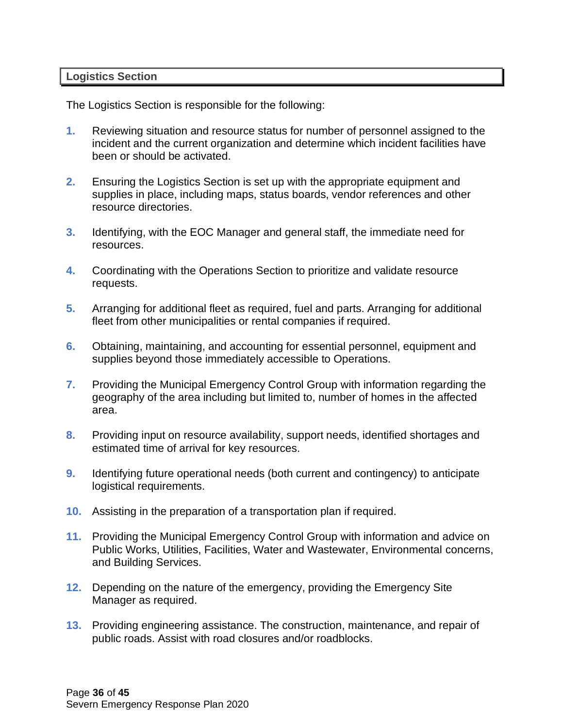#### <span id="page-35-0"></span>**Logistics Section**

The Logistics Section is responsible for the following:

- **1.** Reviewing situation and resource status for number of personnel assigned to the incident and the current organization and determine which incident facilities have been or should be activated.
- **2.** Ensuring the Logistics Section is set up with the appropriate equipment and supplies in place, including maps, status boards, vendor references and other resource directories.
- **3.** Identifying, with the EOC Manager and general staff, the immediate need for resources.
- **4.** Coordinating with the Operations Section to prioritize and validate resource requests.
- **5.** Arranging for additional fleet as required, fuel and parts. Arranging for additional fleet from other municipalities or rental companies if required.
- **6.** Obtaining, maintaining, and accounting for essential personnel, equipment and supplies beyond those immediately accessible to Operations.
- **7.** Providing the Municipal Emergency Control Group with information regarding the geography of the area including but limited to, number of homes in the affected area.
- **8.** Providing input on resource availability, support needs, identified shortages and estimated time of arrival for key resources.
- **9.** Identifying future operational needs (both current and contingency) to anticipate logistical requirements.
- **10.** Assisting in the preparation of a transportation plan if required.
- **11.** Providing the Municipal Emergency Control Group with information and advice on Public Works, Utilities, Facilities, Water and Wastewater, Environmental concerns, and Building Services.
- **12.** Depending on the nature of the emergency, providing the Emergency Site Manager as required.
- **13.** Providing engineering assistance. The construction, maintenance, and repair of public roads. Assist with road closures and/or roadblocks.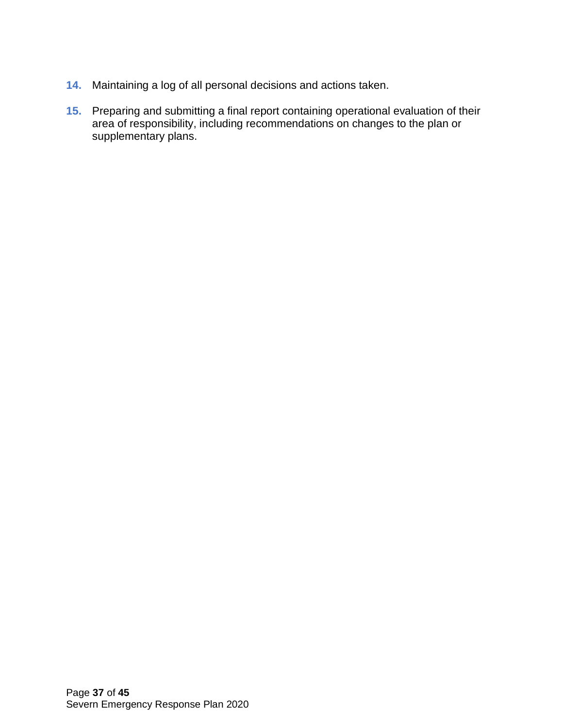- **14.** Maintaining a log of all personal decisions and actions taken.
- **15.** Preparing and submitting a final report containing operational evaluation of their area of responsibility, including recommendations on changes to the plan or supplementary plans.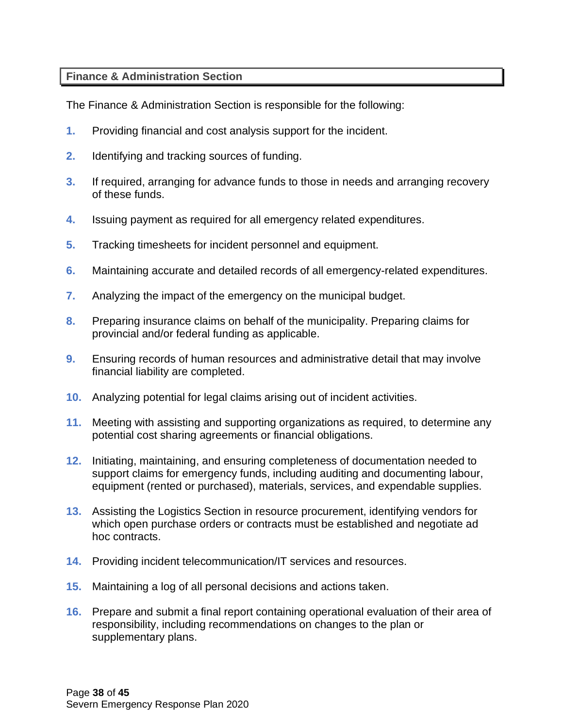### <span id="page-37-0"></span>**Finance & Administration Section**

The Finance & Administration Section is responsible for the following:

- **1.** Providing financial and cost analysis support for the incident.
- **2.** Identifying and tracking sources of funding.
- **3.** If required, arranging for advance funds to those in needs and arranging recovery of these funds.
- **4.** Issuing payment as required for all emergency related expenditures.
- **5.** Tracking timesheets for incident personnel and equipment.
- **6.** Maintaining accurate and detailed records of all emergency-related expenditures.
- **7.** Analyzing the impact of the emergency on the municipal budget.
- **8.** Preparing insurance claims on behalf of the municipality. Preparing claims for provincial and/or federal funding as applicable.
- **9.** Ensuring records of human resources and administrative detail that may involve financial liability are completed.
- **10.** Analyzing potential for legal claims arising out of incident activities.
- **11.** Meeting with assisting and supporting organizations as required, to determine any potential cost sharing agreements or financial obligations.
- **12.** Initiating, maintaining, and ensuring completeness of documentation needed to support claims for emergency funds, including auditing and documenting labour, equipment (rented or purchased), materials, services, and expendable supplies.
- **13.** Assisting the Logistics Section in resource procurement, identifying vendors for which open purchase orders or contracts must be established and negotiate ad hoc contracts.
- **14.** Providing incident telecommunication/IT services and resources.
- **15.** Maintaining a log of all personal decisions and actions taken.
- **16.** Prepare and submit a final report containing operational evaluation of their area of responsibility, including recommendations on changes to the plan or supplementary plans.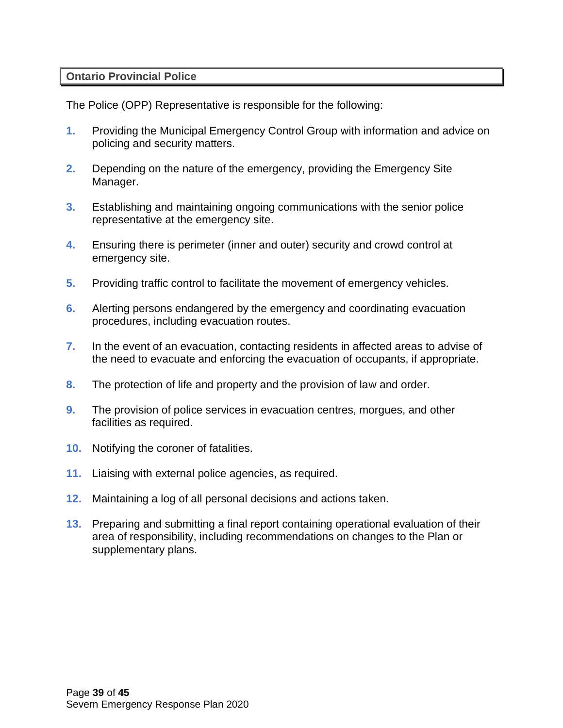#### <span id="page-38-0"></span>**Ontario Provincial Police**

The Police (OPP) Representative is responsible for the following:

- **1.** Providing the Municipal Emergency Control Group with information and advice on policing and security matters.
- **2.** Depending on the nature of the emergency, providing the Emergency Site Manager.
- **3.** Establishing and maintaining ongoing communications with the senior police representative at the emergency site.
- **4.** Ensuring there is perimeter (inner and outer) security and crowd control at emergency site.
- **5.** Providing traffic control to facilitate the movement of emergency vehicles.
- **6.** Alerting persons endangered by the emergency and coordinating evacuation procedures, including evacuation routes.
- **7.** In the event of an evacuation, contacting residents in affected areas to advise of the need to evacuate and enforcing the evacuation of occupants, if appropriate.
- **8.** The protection of life and property and the provision of law and order.
- **9.** The provision of police services in evacuation centres, morgues, and other facilities as required.
- **10.** Notifying the coroner of fatalities.
- **11.** Liaising with external police agencies, as required.
- **12.** Maintaining a log of all personal decisions and actions taken.
- **13.** Preparing and submitting a final report containing operational evaluation of their area of responsibility, including recommendations on changes to the Plan or supplementary plans.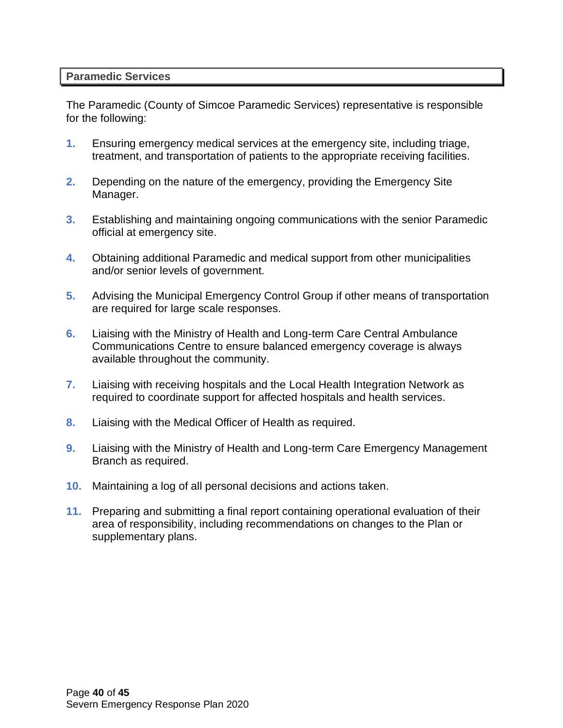#### <span id="page-39-0"></span>**Paramedic Services**

The Paramedic (County of Simcoe Paramedic Services) representative is responsible for the following:

- **1.** Ensuring emergency medical services at the emergency site, including triage, treatment, and transportation of patients to the appropriate receiving facilities.
- **2.** Depending on the nature of the emergency, providing the Emergency Site Manager.
- **3.** Establishing and maintaining ongoing communications with the senior Paramedic official at emergency site.
- **4.** Obtaining additional Paramedic and medical support from other municipalities and/or senior levels of government.
- **5.** Advising the Municipal Emergency Control Group if other means of transportation are required for large scale responses.
- **6.** Liaising with the Ministry of Health and Long-term Care Central Ambulance Communications Centre to ensure balanced emergency coverage is always available throughout the community.
- **7.** Liaising with receiving hospitals and the Local Health Integration Network as required to coordinate support for affected hospitals and health services.
- **8.** Liaising with the Medical Officer of Health as required.
- **9.** Liaising with the Ministry of Health and Long-term Care Emergency Management Branch as required.
- **10.** Maintaining a log of all personal decisions and actions taken.
- **11.** Preparing and submitting a final report containing operational evaluation of their area of responsibility, including recommendations on changes to the Plan or supplementary plans.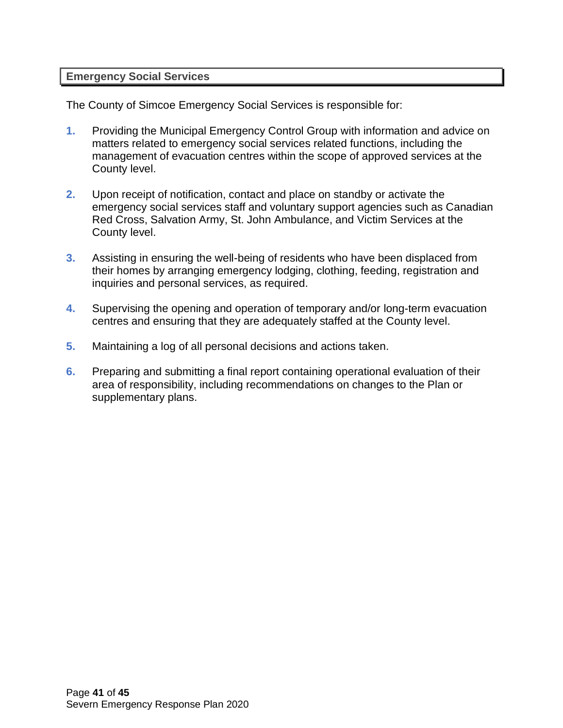#### <span id="page-40-0"></span>**Emergency Social Services**

The County of Simcoe Emergency Social Services is responsible for:

- **1.** Providing the Municipal Emergency Control Group with information and advice on matters related to emergency social services related functions, including the management of evacuation centres within the scope of approved services at the County level.
- **2.** Upon receipt of notification, contact and place on standby or activate the emergency social services staff and voluntary support agencies such as Canadian Red Cross, Salvation Army, St. John Ambulance, and Victim Services at the County level.
- **3.** Assisting in ensuring the well-being of residents who have been displaced from their homes by arranging emergency lodging, clothing, feeding, registration and inquiries and personal services, as required.
- **4.** Supervising the opening and operation of temporary and/or long-term evacuation centres and ensuring that they are adequately staffed at the County level.
- **5.** Maintaining a log of all personal decisions and actions taken.
- **6.** Preparing and submitting a final report containing operational evaluation of their area of responsibility, including recommendations on changes to the Plan or supplementary plans.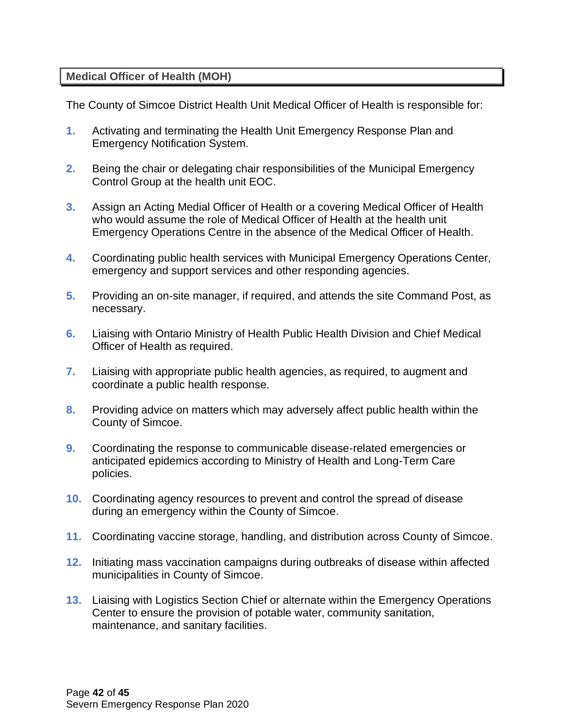#### <span id="page-41-0"></span>**Medical Officer of Health (MOH)**

The County of Simcoe District Health Unit Medical Officer of Health is responsible for:

- **1.** Activating and terminating the Health Unit Emergency Response Plan and Emergency Notification System.
- **2.** Being the chair or delegating chair responsibilities of the Municipal Emergency Control Group at the health unit EOC.
- **3.** Assign an Acting Medial Officer of Health or a covering Medical Officer of Health who would assume the role of Medical Officer of Health at the health unit Emergency Operations Centre in the absence of the Medical Officer of Health.
- **4.** Coordinating public health services with Municipal Emergency Operations Center, emergency and support services and other responding agencies.
- **5.** Providing an on-site manager, if required, and attends the site Command Post, as necessary.
- **6.** Liaising with Ontario Ministry of Health Public Health Division and Chief Medical Officer of Health as required.
- **7.** Liaising with appropriate public health agencies, as required, to augment and coordinate a public health response.
- **8.** Providing advice on matters which may adversely affect public health within the County of Simcoe.
- **9.** Coordinating the response to communicable disease-related emergencies or anticipated epidemics according to Ministry of Health and Long-Term Care policies.
- **10.** Coordinating agency resources to prevent and control the spread of disease during an emergency within the County of Simcoe.
- **11.** Coordinating vaccine storage, handling, and distribution across County of Simcoe.
- **12.** Initiating mass vaccination campaigns during outbreaks of disease within affected municipalities in County of Simcoe.
- **13.** Liaising with Logistics Section Chief or alternate within the Emergency Operations Center to ensure the provision of potable water, community sanitation, maintenance, and sanitary facilities.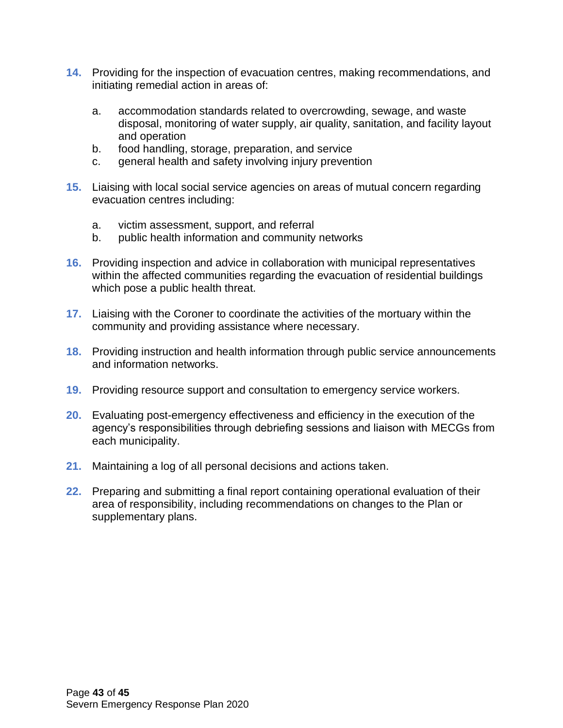- **14.** Providing for the inspection of evacuation centres, making recommendations, and initiating remedial action in areas of:
	- a. accommodation standards related to overcrowding, sewage, and waste disposal, monitoring of water supply, air quality, sanitation, and facility layout and operation
	- b. food handling, storage, preparation, and service
	- c. general health and safety involving injury prevention
- **15.** Liaising with local social service agencies on areas of mutual concern regarding evacuation centres including:
	- a. victim assessment, support, and referral
	- b. public health information and community networks
- **16.** Providing inspection and advice in collaboration with municipal representatives within the affected communities regarding the evacuation of residential buildings which pose a public health threat.
- **17.** Liaising with the Coroner to coordinate the activities of the mortuary within the community and providing assistance where necessary.
- **18.** Providing instruction and health information through public service announcements and information networks.
- **19.** Providing resource support and consultation to emergency service workers.
- **20.** Evaluating post-emergency effectiveness and efficiency in the execution of the agency's responsibilities through debriefing sessions and liaison with MECGs from each municipality.
- **21.** Maintaining a log of all personal decisions and actions taken.
- **22.** Preparing and submitting a final report containing operational evaluation of their area of responsibility, including recommendations on changes to the Plan or supplementary plans.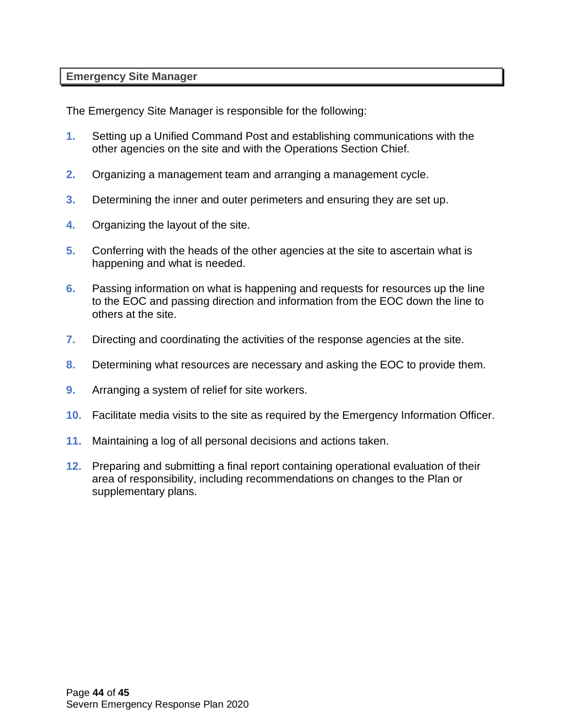#### <span id="page-43-0"></span>**Emergency Site Manager**

The Emergency Site Manager is responsible for the following:

- **1.** Setting up a Unified Command Post and establishing communications with the other agencies on the site and with the Operations Section Chief.
- **2.** Organizing a management team and arranging a management cycle.
- **3.** Determining the inner and outer perimeters and ensuring they are set up.
- **4.** Organizing the layout of the site.
- **5.** Conferring with the heads of the other agencies at the site to ascertain what is happening and what is needed.
- **6.** Passing information on what is happening and requests for resources up the line to the EOC and passing direction and information from the EOC down the line to others at the site.
- **7.** Directing and coordinating the activities of the response agencies at the site.
- **8.** Determining what resources are necessary and asking the EOC to provide them.
- **9.** Arranging a system of relief for site workers.
- **10.** Facilitate media visits to the site as required by the Emergency Information Officer.
- **11.** Maintaining a log of all personal decisions and actions taken.
- **12.** Preparing and submitting a final report containing operational evaluation of their area of responsibility, including recommendations on changes to the Plan or supplementary plans.